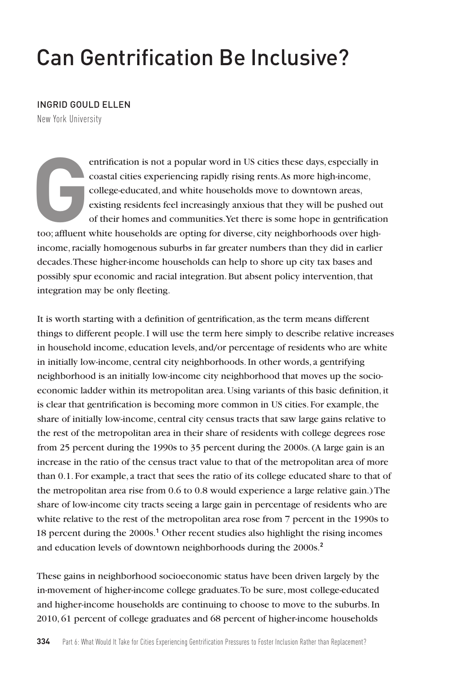## Can Gentrification Be Inclusive?

## INGRID GOULD ELLEN

New York University

entrification is not a popular word in US cities these days, especially in coastal cities experiencing rapidly rising rents. As more high-income, college-educated, and white households move to downtown areas, existing residents feel increasingly anxious that they will be pushed out of their homes and communities. Yet there is some hope in gentrification too; affluent white households are opting for diverse, city neighborhoods over highincome, racially homogenous suburbs in far greater numbers than they did in earlier decades. These higher-income households can help to shore up city tax bases and possibly spur economic and racial integration. But absent policy intervention, that integration may be only fleeting.

It is worth starting with a definition of gentrification, as the term means different things to different people. I will use the term here simply to describe relative increases in household income, education levels, and/or percentage of residents who are white in initially low-income, central city neighborhoods. In other words, a gentrifying neighborhood is an initially low-income city neighborhood that moves up the socioeconomic ladder within its metropolitan area. Using variants of this basic definition, it is clear that gentrification is becoming more common in US cities. For example, the share of initially low-income, central city census tracts that saw large gains relative to the rest of the metropolitan area in their share of residents with college degrees rose from 25 percent during the 1990s to 35 percent during the 2000s. (A large gain is an increase in the ratio of the census tract value to that of the metropolitan area of more than 0.1. For example, a tract that sees the ratio of its college educated share to that of the metropolitan area rise from 0.6 to 0.8 would experience a large relative gain.) The share of low-income city tracts seeing a large gain in percentage of residents who are white relative to the rest of the metropolitan area rose from 7 percent in the 1990s to 18 percent during the 2000s.**<sup>1</sup>** Other recent studies also highlight the rising incomes and education levels of downtown neighborhoods during the 2000s.**<sup>2</sup>**

These gains in neighborhood socioeconomic status have been driven largely by the in-movement of higher-income college graduates. To be sure, most college-educated and higher-income households are continuing to choose to move to the suburbs. In 2010, 61 percent of college graduates and 68 percent of higher-income households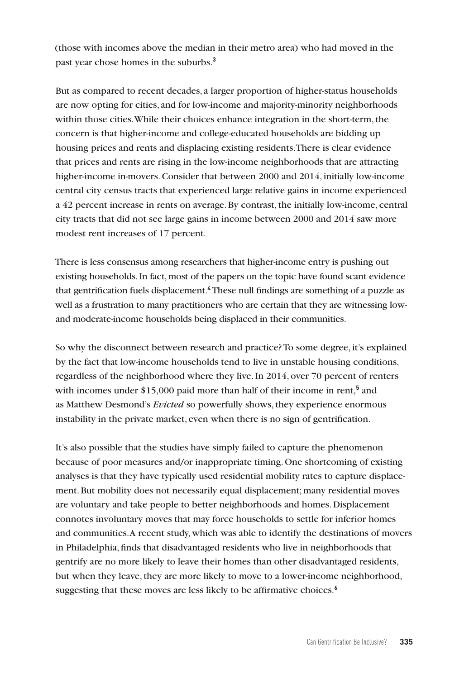(those with incomes above the median in their metro area) who had moved in the past year chose homes in the suburbs.**<sup>3</sup>**

But as compared to recent decades, a larger proportion of higher-status households are now opting for cities, and for low-income and majority-minority neighborhoods within those cities. While their choices enhance integration in the short-term, the concern is that higher-income and college-educated households are bidding up housing prices and rents and displacing existing residents. There is clear evidence that prices and rents are rising in the low-income neighborhoods that are attracting higher-income in-movers. Consider that between 2000 and 2014, initially low-income central city census tracts that experienced large relative gains in income experienced a 42 percent increase in rents on average. By contrast, the initially low-income, central city tracts that did not see large gains in income between 2000 and 2014 saw more modest rent increases of 17 percent.

There is less consensus among researchers that higher-income entry is pushing out existing households. In fact, most of the papers on the topic have found scant evidence that gentrification fuels displacement.**<sup>4</sup>** These null findings are something of a puzzle as well as a frustration to many practitioners who are certain that they are witnessing lowand moderate-income households being displaced in their communities.

So why the disconnect between research and practice? To some degree, it's explained by the fact that low-income households tend to live in unstable housing conditions, regardless of the neighborhood where they live. In 2014, over 70 percent of renters with incomes under \$15,000 paid more than half of their income in rent,<sup>5</sup> and as Matthew Desmond's *Evicted* so powerfully shows, they experience enormous instability in the private market, even when there is no sign of gentrification.

It's also possible that the studies have simply failed to capture the phenomenon because of poor measures and/or inappropriate timing. One shortcoming of existing analyses is that they have typically used residential mobility rates to capture displacement. But mobility does not necessarily equal displacement; many residential moves are voluntary and take people to better neighborhoods and homes. Displacement connotes involuntary moves that may force households to settle for inferior homes and communities. A recent study, which was able to identify the destinations of movers in Philadelphia, finds that disadvantaged residents who live in neighborhoods that gentrify are no more likely to leave their homes than other disadvantaged residents, but when they leave, they are more likely to move to a lower-income neighborhood, suggesting that these moves are less likely to be affirmative choices.**6**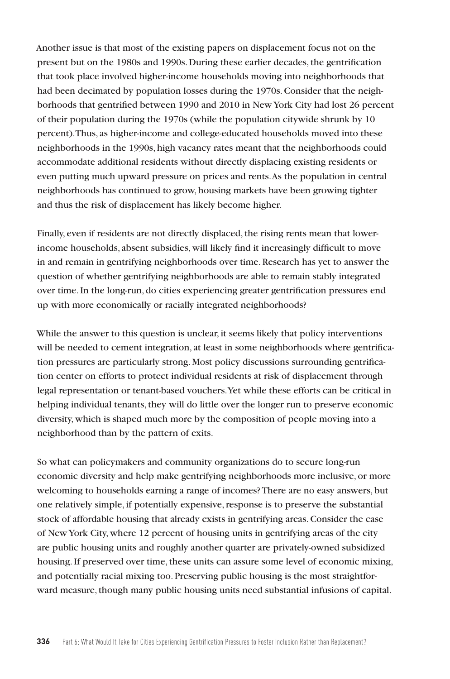Another issue is that most of the existing papers on displacement focus not on the present but on the 1980s and 1990s. During these earlier decades, the gentrification that took place involved higher-income households moving into neighborhoods that had been decimated by population losses during the 1970s. Consider that the neighborhoods that gentrified between 1990 and 2010 in New York City had lost 26 percent of their population during the 1970s (while the population citywide shrunk by 10 percent). Thus, as higher-income and college-educated households moved into these neighborhoods in the 1990s, high vacancy rates meant that the neighborhoods could accommodate additional residents without directly displacing existing residents or even putting much upward pressure on prices and rents. As the population in central neighborhoods has continued to grow, housing markets have been growing tighter and thus the risk of displacement has likely become higher.

Finally, even if residents are not directly displaced, the rising rents mean that lowerincome households, absent subsidies, will likely find it increasingly difficult to move in and remain in gentrifying neighborhoods over time. Research has yet to answer the question of whether gentrifying neighborhoods are able to remain stably integrated over time. In the long-run, do cities experiencing greater gentrification pressures end up with more economically or racially integrated neighborhoods?

While the answer to this question is unclear, it seems likely that policy interventions will be needed to cement integration, at least in some neighborhoods where gentrification pressures are particularly strong. Most policy discussions surrounding gentrification center on efforts to protect individual residents at risk of displacement through legal representation or tenant-based vouchers. Yet while these efforts can be critical in helping individual tenants, they will do little over the longer run to preserve economic diversity, which is shaped much more by the composition of people moving into a neighborhood than by the pattern of exits.

So what can policymakers and community organizations do to secure long-run economic diversity and help make gentrifying neighborhoods more inclusive, or more welcoming to households earning a range of incomes? There are no easy answers, but one relatively simple, if potentially expensive, response is to preserve the substantial stock of affordable housing that already exists in gentrifying areas. Consider the case of New York City, where 12 percent of housing units in gentrifying areas of the city are public housing units and roughly another quarter are privately-owned subsidized housing. If preserved over time, these units can assure some level of economic mixing, and potentially racial mixing too. Preserving public housing is the most straightforward measure, though many public housing units need substantial infusions of capital.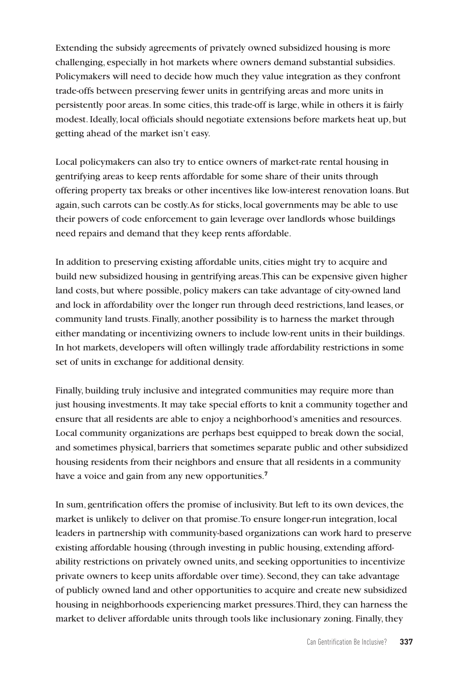Extending the subsidy agreements of privately owned subsidized housing is more challenging, especially in hot markets where owners demand substantial subsidies. Policymakers will need to decide how much they value integration as they confront trade-offs between preserving fewer units in gentrifying areas and more units in persistently poor areas. In some cities, this trade-off is large, while in others it is fairly modest. Ideally, local officials should negotiate extensions before markets heat up, but getting ahead of the market isn't easy.

Local policymakers can also try to entice owners of market-rate rental housing in gentrifying areas to keep rents affordable for some share of their units through offering property tax breaks or other incentives like low-interest renovation loans. But again, such carrots can be costly. As for sticks, local governments may be able to use their powers of code enforcement to gain leverage over landlords whose buildings need repairs and demand that they keep rents affordable.

In addition to preserving existing affordable units, cities might try to acquire and build new subsidized housing in gentrifying areas. This can be expensive given higher land costs, but where possible, policy makers can take advantage of city-owned land and lock in affordability over the longer run through deed restrictions, land leases, or community land trusts. Finally, another possibility is to harness the market through either mandating or incentivizing owners to include low-rent units in their buildings. In hot markets, developers will often willingly trade affordability restrictions in some set of units in exchange for additional density.

Finally, building truly inclusive and integrated communities may require more than just housing investments. It may take special efforts to knit a community together and ensure that all residents are able to enjoy a neighborhood's amenities and resources. Local community organizations are perhaps best equipped to break down the social, and sometimes physical, barriers that sometimes separate public and other subsidized housing residents from their neighbors and ensure that all residents in a community have a voice and gain from any new opportunities.**<sup>7</sup>**

In sum, gentrification offers the promise of inclusivity. But left to its own devices, the market is unlikely to deliver on that promise. To ensure longer-run integration, local leaders in partnership with community-based organizations can work hard to preserve existing affordable housing (through investing in public housing, extending affordability restrictions on privately owned units, and seeking opportunities to incentivize private owners to keep units affordable over time). Second, they can take advantage of publicly owned land and other opportunities to acquire and create new subsidized housing in neighborhoods experiencing market pressures. Third, they can harness the market to deliver affordable units through tools like inclusionary zoning. Finally, they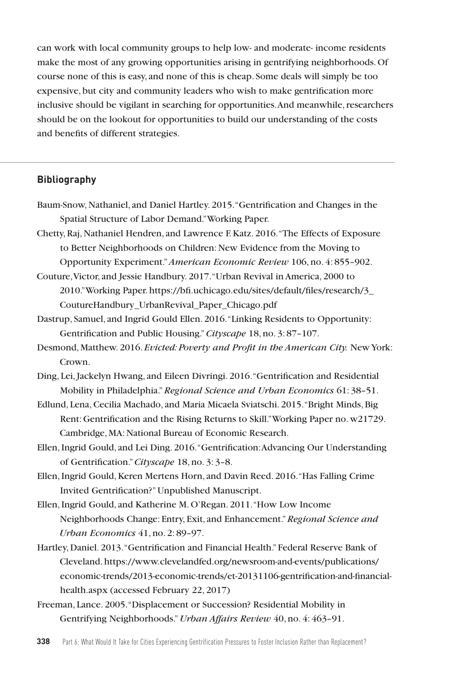can work with local community groups to help low- and moderate- income residents make the most of any growing opportunities arising in gentrifying neighborhoods. Of course none of this is easy, and none of this is cheap. Some deals will simply be too expensive, but city and community leaders who wish to make gentrification more inclusive should be vigilant in searching for opportunities. And meanwhile, researchers should be on the lookout for opportunities to build our understanding of the costs and benefits of different strategies.

## **Bibliography**

- Baum-Snow, Nathaniel, and Daniel Hartley. 2015. "Gentrification and Changes in the Spatial Structure of Labor Demand." Working Paper.
- Chetty, Raj, Nathaniel Hendren, and Lawrence F. Katz. 2016. "The Effects of Exposure to Better Neighborhoods on Children: New Evidence from the Moving to Opportunity Experiment."*American Economic Review* 106, no. 4: 855–902.
- Couture, Victor, and Jessie Handbury. 2017. "Urban Revival in America, 2000 to 2010." Working Paper. https://bfi.uchicago.edu/sites/default/files/research/3\_ CoutureHandbury\_UrbanRevival\_Paper\_Chicago.pdf
- Dastrup, Samuel, and Ingrid Gould Ellen. 2016. "Linking Residents to Opportunity: Gentrification and Public Housing."*Cityscape* 18, no. 3: 87–107.
- Desmond, Matthew. 2016. *Evicted: Poverty and Profit in the American City.* New York: Crown.

Ding, Lei, Jackelyn Hwang, and Eileen Divringi. 2016. "Gentrification and Residential Mobility in Philadelphia."*Regional Science and Urban Economics* 61: 38–51.

- Edlund, Lena, Cecilia Machado, and Maria Micaela Sviatschi. 2015."Bright Minds, Big Rent: Gentrification and the Rising Returns to Skill." Working Paper no. w21729. Cambridge, MA: National Bureau of Economic Research.
- Ellen, Ingrid Gould, and Lei Ding. 2016. "Gentrification: Advancing Our Understanding of Gentrification."*Cityscape* 18, no. 3: 3–8.
- Ellen, Ingrid Gould, Keren Mertens Horn, and Davin Reed. 2016. "Has Falling Crime Invited Gentrification?" Unpublished Manuscript.
- Ellen, Ingrid Gould, and Katherine M. O'Regan. 2011. "How Low Income Neighborhoods Change: Entry, Exit, and Enhancement."*Regional Science and Urban Economics* 41, no. 2: 89–97.
- Hartley, Daniel. 2013. "Gentrification and Financial Health." Federal Reserve Bank of Cleveland. https://www.clevelandfed.org/newsroom-and-events/publications/ economic-trends/2013-economic-trends/et-20131106-gentrification-and-financialhealth.aspx (accessed February 22, 2017)
- Freeman, Lance. 2005. "Displacement or Succession? Residential Mobility in Gentrifying Neighborhoods."*Urban Affairs Review* 40, no. 4: 463–91.